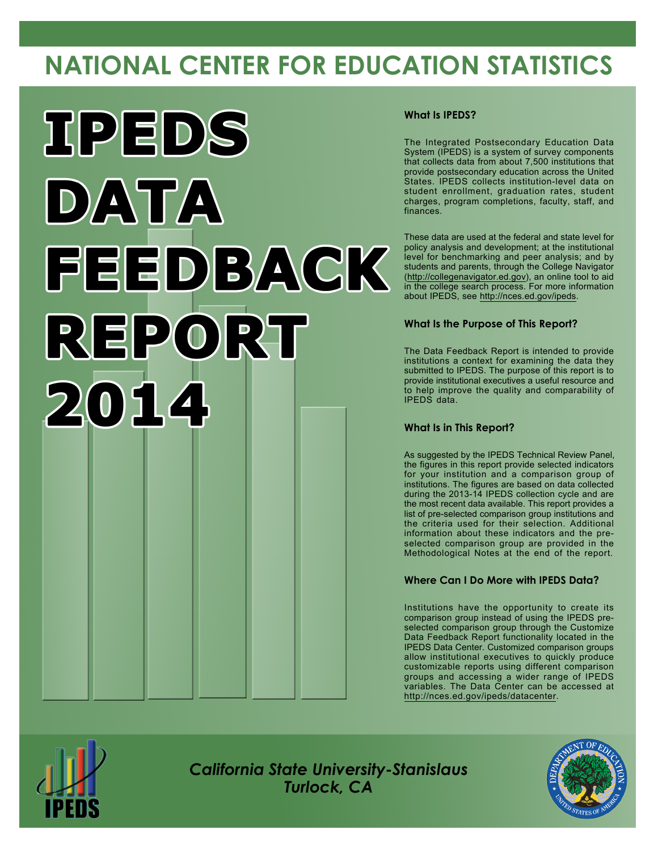# **NATIONAL CENTER FOR EDUCATION STATISTICS**



#### **What Is IPEDS?**

The Integrated Postsecondary Education Data System (IPEDS) is a system of survey components that collects data from about 7,500 institutions that provide postsecondary education across the United States. IPEDS collects institution-level data on student enrollment, graduation rates, student charges, program completions, faculty, staff, and finances.

These data are used at the federal and state level for policy analysis and development; at the institutional level for benchmarking and peer analysis; and by students and parents, through the College Navigator [\(http://collegenavigator.ed.gov](http://collegenavigator.ed.gov)), an online tool to aid in the college search process. For more information about IPEDS, see <http://nces.ed.gov/ipeds>.

#### **What Is the Purpose of This Report?**

The Data Feedback Report is intended to provide institutions a context for examining the data they submitted to IPEDS. The purpose of this report is to provide institutional executives a useful resource and to help improve the quality and comparability of IPEDS data.

#### **What Is in This Report?**

As suggested by the IPEDS Technical Review Panel, the figures in this report provide selected indicators for your institution and a comparison group of institutions. The figures are based on data collected during the 2013-14 IPEDS collection cycle and are the most recent data available. This report provides a list of pre-selected comparison group institutions and the criteria used for their selection. Additional information about these indicators and the preselected comparison group are provided in the Methodological Notes at the end of the report.

#### **Where Can I Do More with IPEDS Data?**

Institutions have the opportunity to create its comparison group instead of using the IPEDS preselected comparison group through the Customize Data Feedback Report functionality located in the IPEDS Data Center. Customized comparison groups allow institutional executives to quickly produce customizable reports using different comparison groups and accessing a wider range of IPEDS variables. The Data Center can be accessed at <http://nces.ed.gov/ipeds/datacenter>.



*California State University-Stanislaus Turlock, CA*

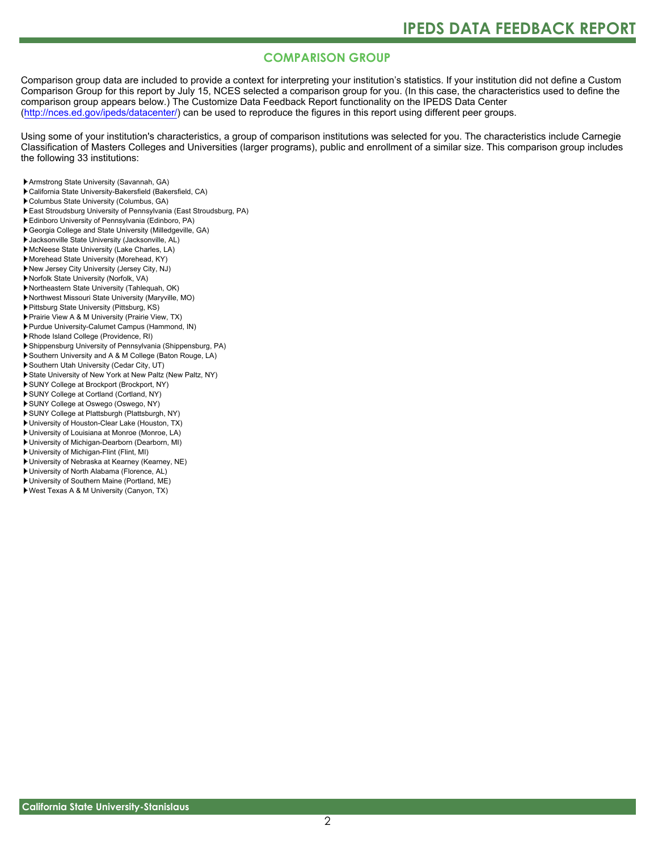### **COMPARISON GROUP**

Comparison group data are included to provide a context for interpreting your institution's statistics. If your institution did not define a Custom Comparison Group for this report by July 15, NCES selected a comparison group for you. (In this case, the characteristics used to define the comparison group appears below.) The Customize Data Feedback Report functionality on the IPEDS Data Center [\(http://nces.ed.gov/ipeds/datacenter/\)](http://nces.ed.gov/ipeds/datacenter/) can be used to reproduce the figures in this report using different peer groups.

Using some of your institution's characteristics, a group of comparison institutions was selected for you. The characteristics include Carnegie Classification of Masters Colleges and Universities (larger programs), public and enrollment of a similar size. This comparison group includes the following 33 institutions:

- Armstrong State University (Savannah, GA)
- California State University-Bakersfield (Bakersfield, CA)
- Columbus State University (Columbus, GA)
- East Stroudsburg University of Pennsylvania (East Stroudsburg, PA)
- Edinboro University of Pennsylvania (Edinboro, PA)
- Georgia College and State University (Milledgeville, GA)
- Jacksonville State University (Jacksonville, AL)
- McNeese State University (Lake Charles, LA)
- Morehead State University (Morehead, KY)
- New Jersey City University (Jersey City, NJ)
- Norfolk State University (Norfolk, VA)
- Northeastern State University (Tahlequah, OK)
- Northwest Missouri State University (Maryville, MO)
- Pittsburg State University (Pittsburg, KS)
- Prairie View A & M University (Prairie View, TX)
- Purdue University-Calumet Campus (Hammond, IN)
- Rhode Island College (Providence, RI)
- Shippensburg University of Pennsylvania (Shippensburg, PA)
- Southern University and A & M College (Baton Rouge, LA)
- Southern Utah University (Cedar City, UT)
- State University of New York at New Paltz (New Paltz, NY)
- SUNY College at Brockport (Brockport, NY)
- SUNY College at Cortland (Cortland, NY)
- SUNY College at Oswego (Oswego, NY)
- SUNY College at Plattsburgh (Plattsburgh, NY)
- University of Houston-Clear Lake (Houston, TX)
- University of Louisiana at Monroe (Monroe, LA)
- University of Michigan-Dearborn (Dearborn, MI)
- University of Michigan-Flint (Flint, MI)
- University of Nebraska at Kearney (Kearney, NE)
- University of North Alabama (Florence, AL)
- University of Southern Maine (Portland, ME)
- West Texas A & M University (Canyon, TX)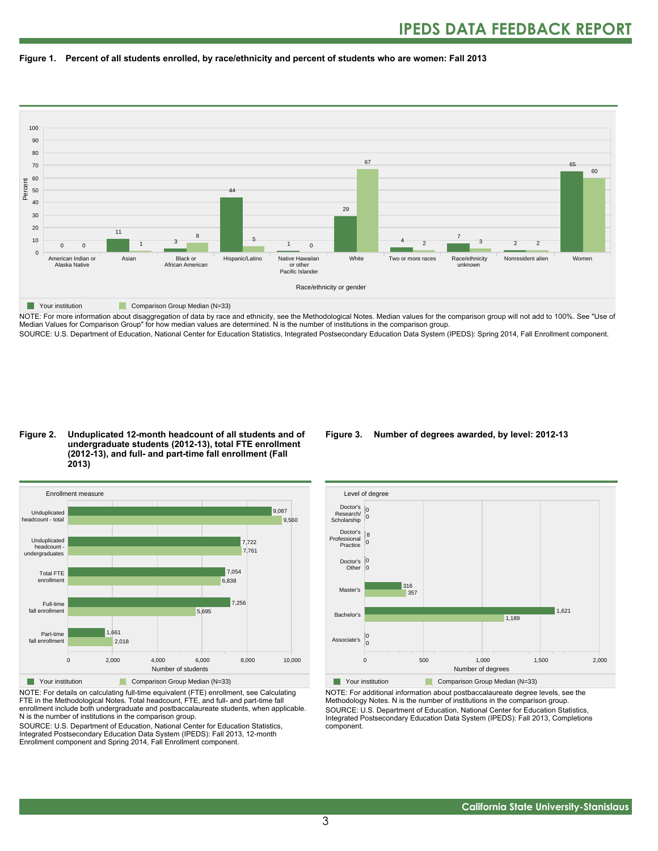



NOTE: For more information about disaggregation of data by race and ethnicity, see the Methodological Notes. Median values for the comparison group will not add to 100%. See "Use of Median Values for Comparison Group" for how median values are determined. N is the number of institutions in the comparison group. SOURCE: U.S. Department of Education, National Center for Education Statistics, Integrated Postsecondary Education Data System (IPEDS): Spring 2014, Fall Enrollment component.

#### **Figure 2. Unduplicated 12-month headcount of all students and of undergraduate students (2012-13), total FTE enrollment (2012-13), and full- and part-time fall enrollment (Fall 2013)**



NOTE: For details on calculating full-time equivalent (FTE) enrollment, see Calculating FTE in the Methodological Notes. Total headcount, FTE, and full- and part-time fall enrollment include both undergraduate and postbaccalaureate students, when applicable. N is the number of institutions in the comparison group.

SOURCE: U.S. Department of Education, National Center for Education Statistics, Integrated Postsecondary Education Data System (IPEDS): Fall 2013, 12-month Enrollment component and Spring 2014, Fall Enrollment component.

#### **Figure 3. Number of degrees awarded, by level: 2012-13**



NOTE: For additional information about postbaccalaureate degree levels, see the Methodology Notes. N is the number of institutions in the comparison group. SOURCE: U.S. Department of Education, National Center for Education Statistics, Integrated Postsecondary Education Data System (IPEDS): Fall 2013, Completions component.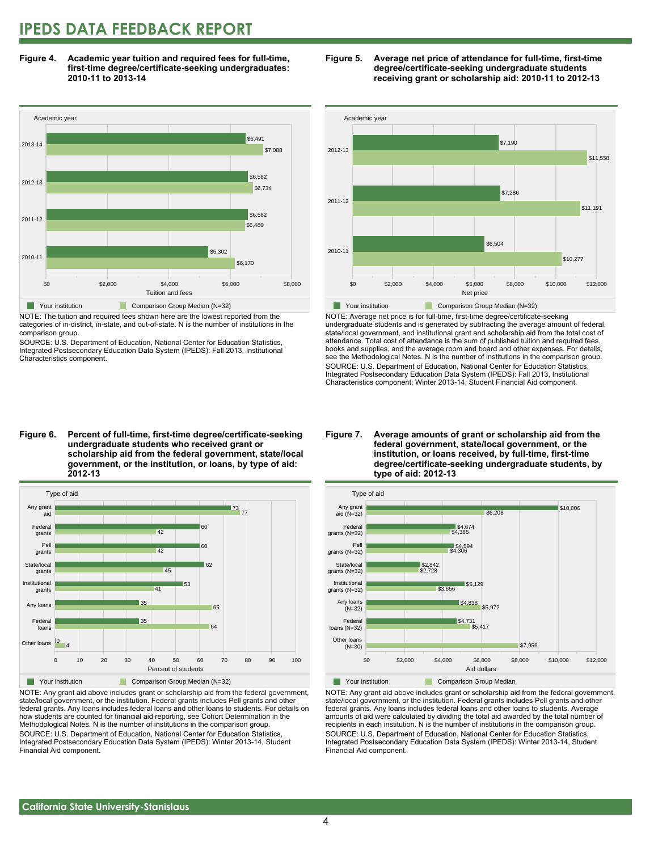### **IPEDS DATA FEEDBACK REPORT**

**Figure 4. Academic year tuition and required fees for full-time, first-time degree/certificate-seeking undergraduates: 2010-11 to 2013-14**



NOTE: The tuition and required fees shown here are the lowest reported from the categories of in-district, in-state, and out-of-state. N is the number of institutions in the comparison group.

SOURCE: U.S. Department of Education, National Center for Education Statistics, Integrated Postsecondary Education Data System (IPEDS): Fall 2013, Institutional Characteristics component.





NOTE: Average net price is for full-time, first-time degree/certificate-seeking undergraduate students and is generated by subtracting the average amount of federal, state/local government, and institutional grant and scholarship aid from the total cost of attendance. Total cost of attendance is the sum of published tuition and required fees, books and supplies, and the average room and board and other expenses. For details, see the Methodological Notes. N is the number of institutions in the comparison group. SOURCE: U.S. Department of Education, National Center for Education Statistics, Integrated Postsecondary Education Data System (IPEDS): Fall 2013, Institutional Characteristics component; Winter 2013-14, Student Financial Aid component.

**Figure 6. Percent of full-time, first-time degree/certificate-seeking undergraduate students who received grant or scholarship aid from the federal government, state/local government, or the institution, or loans, by type of aid: 2012-13**



NOTE: Any grant aid above includes grant or scholarship aid from the federal government, state/local government, or the institution. Federal grants includes Pell grants and other federal grants. Any loans includes federal loans and other loans to students. For details on how students are counted for financial aid reporting, see Cohort Determination in the Methodological Notes. N is the number of institutions in the comparison group. SOURCE: U.S. Department of Education, National Center for Education Statistics, Integrated Postsecondary Education Data System (IPEDS): Winter 2013-14, Student Financial Aid component.

#### **Figure 7. Average amounts of grant or scholarship aid from the federal government, state/local government, or the institution, or loans received, by full-time, first-time degree/certificate-seeking undergraduate students, by type of aid: 2012-13**



NOTE: Any grant aid above includes grant or scholarship aid from the federal government, state/local government, or the institution. Federal grants includes Pell grants and other federal grants. Any loans includes federal loans and other loans to students. Average amounts of aid were calculated by dividing the total aid awarded by the total number of recipients in each institution. N is the number of institutions in the comparison group. SOURCE: U.S. Department of Education, National Center for Education Statistics, Integrated Postsecondary Education Data System (IPEDS): Winter 2013-14, Student Financial Aid component.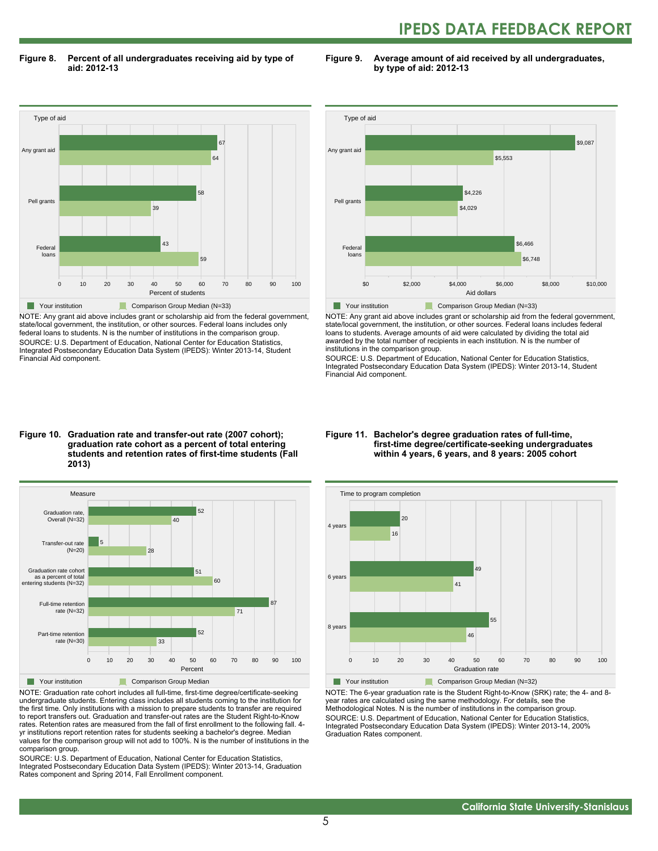## **IPEDS DATA FEEDBACK REPORT**

**Figure 8. Percent of all undergraduates receiving aid by type of aid: 2012-13**

**Figure 9. Average amount of aid received by all undergraduates, by type of aid: 2012-13**



NOTE: Any grant aid above includes grant or scholarship aid from the federal government, state/local government, the institution, or other sources. Federal loans includes only federal loans to students. N is the number of institutions in the comparison group. SOURCE: U.S. Department of Education, National Center for Education Statistics, Integrated Postsecondary Education Data System (IPEDS): Winter 2013-14, Student Financial Aid component.



NOTE: Any grant aid above includes grant or scholarship aid from the federal government, state/local government, the institution, or other sources. Federal loans includes federal loans to students. Average amounts of aid were calculated by dividing the total aid awarded by the total number of recipients in each institution. N is the number of institutions in the comparison group.

SOURCE: U.S. Department of Education, National Center for Education Statistics, Integrated Postsecondary Education Data System (IPEDS): Winter 2013-14, Student Financial Aid component.

#### **Figure 10. Graduation rate and transfer-out rate (2007 cohort); graduation rate cohort as a percent of total entering students and retention rates of first-time students (Fall 2013)**



NOTE: Graduation rate cohort includes all full-time, first-time degree/certificate-seeking undergraduate students. Entering class includes all students coming to the institution for the first time. Only institutions with a mission to prepare students to transfer are required to report transfers out. Graduation and transfer-out rates are the Student Right-to-Know rates. Retention rates are measured from the fall of first enrollment to the following fall. 4 yr institutions report retention rates for students seeking a bachelor's degree. Median values for the comparison group will not add to 100%. N is the number of institutions in the comparison group.

SOURCE: U.S. Department of Education, National Center for Education Statistics, Integrated Postsecondary Education Data System (IPEDS): Winter 2013-14, Graduation Rates component and Spring 2014, Fall Enrollment component.

#### **Figure 11. Bachelor's degree graduation rates of full-time, first-time degree/certificate-seeking undergraduates within 4 years, 6 years, and 8 years: 2005 cohort**



NOTE: The 6-year graduation rate is the Student Right-to-Know (SRK) rate; the 4- and 8 year rates are calculated using the same methodology. For details, see the Methodological Notes. N is the number of institutions in the comparison group. SOURCE: U.S. Department of Education, National Center for Education Statistics, Integrated Postsecondary Education Data System (IPEDS): Winter 2013-14, 200% Graduation Rates component.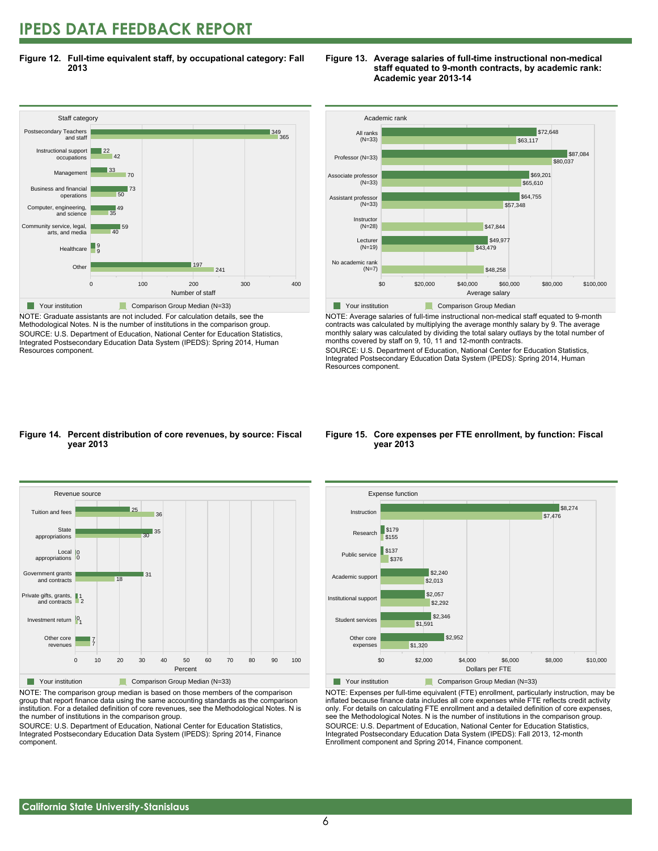### **IPEDS DATA FEEDBACK REPORT**

**Figure 12. Full-time equivalent staff, by occupational category: Fall 2013**



NOTE: Graduate assistants are not included. For calculation details, see the Methodological Notes. N is the number of institutions in the comparison group. SOURCE: U.S. Department of Education, National Center for Education Statistics, Integrated Postsecondary Education Data System (IPEDS): Spring 2014, Human Resources component.





NOTE: Average salaries of full-time instructional non-medical staff equated to 9-month contracts was calculated by multiplying the average monthly salary by 9. The average monthly salary was calculated by dividing the total salary outlays by the total number of months covered by staff on 9, 10, 11 and 12-month contracts.

SOURCE: U.S. Department of Education, National Center for Education Statistics, Integrated Postsecondary Education Data System (IPEDS): Spring 2014, Human Resources component.

#### **Figure 14. Percent distribution of core revenues, by source: Fiscal year 2013**



NOTE: The comparison group median is based on those members of the comparison group that report finance data using the same accounting standards as the comparison institution. For a detailed definition of core revenues, see the Methodological Notes. N is the number of institutions in the comparison group.

SOURCE: U.S. Department of Education, National Center for Education Statistics, Integrated Postsecondary Education Data System (IPEDS): Spring 2014, Finance component.

#### **Figure 15. Core expenses per FTE enrollment, by function: Fiscal year 2013**



NOTE: Expenses per full-time equivalent (FTE) enrollment, particularly instruction, may be inflated because finance data includes all core expenses while FTE reflects credit activity only. For details on calculating FTE enrollment and a detailed definition of core expenses, see the Methodological Notes. N is the number of institutions in the comparison group. SOURCE: U.S. Department of Education, National Center for Education Statistics, Integrated Postsecondary Education Data System (IPEDS): Fall 2013, 12-month Enrollment component and Spring 2014, Finance component.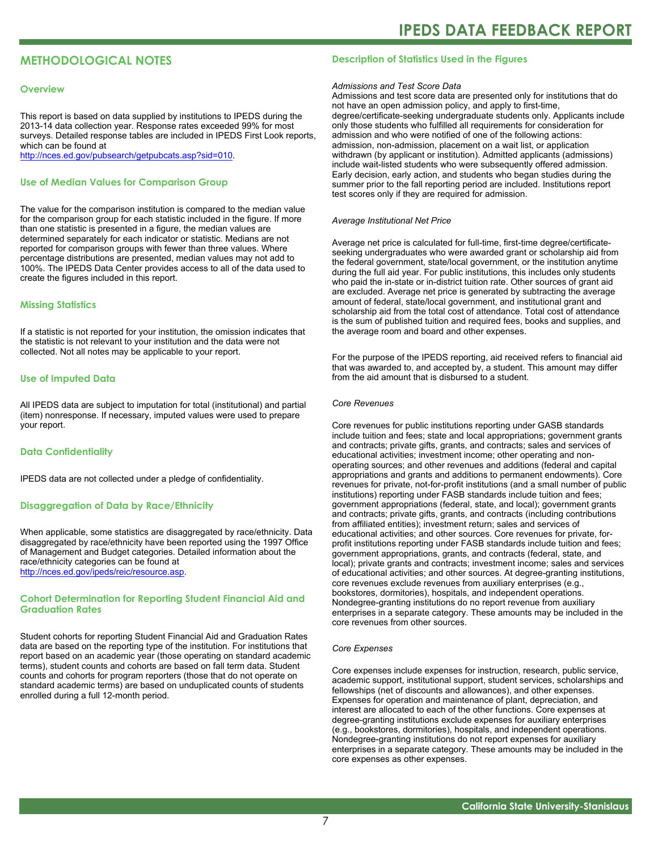### **METHODOLOGICAL NOTES**

#### **Overview**

This report is based on data supplied by institutions to IPEDS during the 2013-14 data collection year. Response rates exceeded 99% for most surveys. Detailed response tables are included in IPEDS First Look reports, which can be found at [http://nces.ed.gov/pubsearch/getpubcats.asp?sid=010.](http://nces.ed.gov/pubsearch/getpubcats.asp?sid=010)

#### **Use of Median Values for Comparison Group**

The value for the comparison institution is compared to the median value for the comparison group for each statistic included in the figure. If more than one statistic is presented in a figure, the median values are determined separately for each indicator or statistic. Medians are not reported for comparison groups with fewer than three values. Where percentage distributions are presented, median values may not add to 100%. The IPEDS Data Center provides access to all of the data used to create the figures included in this report.

#### **Missing Statistics**

If a statistic is not reported for your institution, the omission indicates that the statistic is not relevant to your institution and the data were not collected. Not all notes may be applicable to your report.

#### **Use of Imputed Data**

All IPEDS data are subject to imputation for total (institutional) and partial (item) nonresponse. If necessary, imputed values were used to prepare your report.

#### **Data Confidentiality**

IPEDS data are not collected under a pledge of confidentiality.

#### **Disaggregation of Data by Race/Ethnicity**

When applicable, some statistics are disaggregated by race/ethnicity. Data disaggregated by race/ethnicity have been reported using the 1997 Office of Management and Budget categories. Detailed information about the race/ethnicity categories can be found at <http://nces.ed.gov/ipeds/reic/resource.asp>.

#### **Cohort Determination for Reporting Student Financial Aid and Graduation Rates**

Student cohorts for reporting Student Financial Aid and Graduation Rates data are based on the reporting type of the institution. For institutions that report based on an academic year (those operating on standard academic terms), student counts and cohorts are based on fall term data. Student counts and cohorts for program reporters (those that do not operate on standard academic terms) are based on unduplicated counts of students enrolled during a full 12-month period.

#### **Description of Statistics Used in the Figures**

#### *Admissions and Test Score Data*

Admissions and test score data are presented only for institutions that do not have an open admission policy, and apply to first-time, degree/certificate-seeking undergraduate students only. Applicants include only those students who fulfilled all requirements for consideration for admission and who were notified of one of the following actions: admission, non-admission, placement on a wait list, or application withdrawn (by applicant or institution). Admitted applicants (admissions) include wait-listed students who were subsequently offered admission. Early decision, early action, and students who began studies during the summer prior to the fall reporting period are included. Institutions report test scores only if they are required for admission.

#### *Average Institutional Net Price*

Average net price is calculated for full-time, first-time degree/certificateseeking undergraduates who were awarded grant or scholarship aid from the federal government, state/local government, or the institution anytime during the full aid year. For public institutions, this includes only students who paid the in-state or in-district tuition rate. Other sources of grant aid are excluded. Average net price is generated by subtracting the average amount of federal, state/local government, and institutional grant and scholarship aid from the total cost of attendance. Total cost of attendance is the sum of published tuition and required fees, books and supplies, and the average room and board and other expenses.

For the purpose of the IPEDS reporting, aid received refers to financial aid that was awarded to, and accepted by, a student. This amount may differ from the aid amount that is disbursed to a student.

#### *Core Revenues*

Core revenues for public institutions reporting under GASB standards include tuition and fees; state and local appropriations; government grants and contracts; private gifts, grants, and contracts; sales and services of educational activities; investment income; other operating and nonoperating sources; and other revenues and additions (federal and capital appropriations and grants and additions to permanent endowments). Core revenues for private, not-for-profit institutions (and a small number of public institutions) reporting under FASB standards include tuition and fees; government appropriations (federal, state, and local); government grants and contracts; private gifts, grants, and contracts (including contributions from affiliated entities); investment return; sales and services of educational activities; and other sources. Core revenues for private, forprofit institutions reporting under FASB standards include tuition and fees; government appropriations, grants, and contracts (federal, state, and local); private grants and contracts; investment income; sales and services of educational activities; and other sources. At degree-granting institutions, core revenues exclude revenues from auxiliary enterprises (e.g., bookstores, dormitories), hospitals, and independent operations. Nondegree-granting institutions do no report revenue from auxiliary enterprises in a separate category. These amounts may be included in the core revenues from other sources.

#### *Core Expenses*

Core expenses include expenses for instruction, research, public service, academic support, institutional support, student services, scholarships and fellowships (net of discounts and allowances), and other expenses. Expenses for operation and maintenance of plant, depreciation, and interest are allocated to each of the other functions. Core expenses at degree-granting institutions exclude expenses for auxiliary enterprises (e.g., bookstores, dormitories), hospitals, and independent operations. Nondegree-granting institutions do not report expenses for auxiliary enterprises in a separate category. These amounts may be included in the core expenses as other expenses.